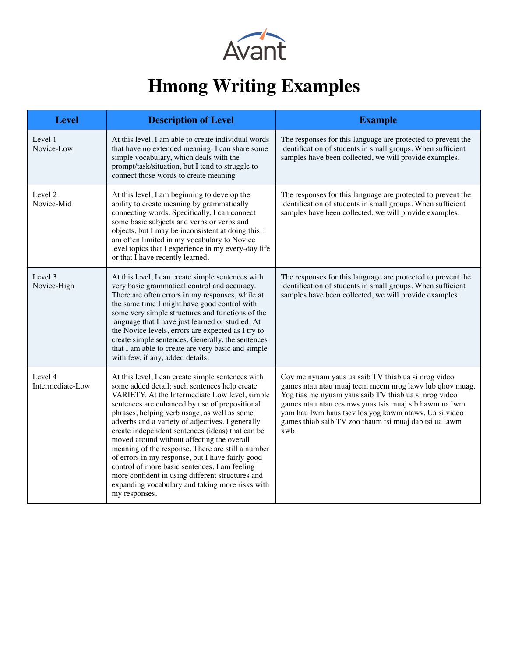

## **Hmong Writing Examples**

| <b>Level</b>                | <b>Description of Level</b>                                                                                                                                                                                                                                                                                                                                                                                                                                                                                                                                                                                                                                                                    | <b>Example</b>                                                                                                                                                                                                                                                                                                                                               |
|-----------------------------|------------------------------------------------------------------------------------------------------------------------------------------------------------------------------------------------------------------------------------------------------------------------------------------------------------------------------------------------------------------------------------------------------------------------------------------------------------------------------------------------------------------------------------------------------------------------------------------------------------------------------------------------------------------------------------------------|--------------------------------------------------------------------------------------------------------------------------------------------------------------------------------------------------------------------------------------------------------------------------------------------------------------------------------------------------------------|
| Level 1<br>Novice-Low       | At this level, I am able to create individual words<br>that have no extended meaning. I can share some<br>simple vocabulary, which deals with the<br>prompt/task/situation, but I tend to struggle to<br>connect those words to create meaning                                                                                                                                                                                                                                                                                                                                                                                                                                                 | The responses for this language are protected to prevent the<br>identification of students in small groups. When sufficient<br>samples have been collected, we will provide examples.                                                                                                                                                                        |
| Level 2<br>Novice-Mid       | At this level, I am beginning to develop the<br>ability to create meaning by grammatically<br>connecting words. Specifically, I can connect<br>some basic subjects and verbs or verbs and<br>objects, but I may be inconsistent at doing this. I<br>am often limited in my vocabulary to Novice<br>level topics that I experience in my every-day life<br>or that I have recently learned.                                                                                                                                                                                                                                                                                                     | The responses for this language are protected to prevent the<br>identification of students in small groups. When sufficient<br>samples have been collected, we will provide examples.                                                                                                                                                                        |
| Level 3<br>Novice-High      | At this level, I can create simple sentences with<br>very basic grammatical control and accuracy.<br>There are often errors in my responses, while at<br>the same time I might have good control with<br>some very simple structures and functions of the<br>language that I have just learned or studied. At<br>the Novice levels, errors are expected as I try to<br>create simple sentences. Generally, the sentences<br>that I am able to create are very basic and simple<br>with few, if any, added details.                                                                                                                                                                             | The responses for this language are protected to prevent the<br>identification of students in small groups. When sufficient<br>samples have been collected, we will provide examples.                                                                                                                                                                        |
| Level 4<br>Intermediate-Low | At this level, I can create simple sentences with<br>some added detail; such sentences help create<br>VARIETY. At the Intermediate Low level, simple<br>sentences are enhanced by use of prepositional<br>phrases, helping verb usage, as well as some<br>adverbs and a variety of adjectives. I generally<br>create independent sentences (ideas) that can be<br>moved around without affecting the overall<br>meaning of the response. There are still a number<br>of errors in my response, but I have fairly good<br>control of more basic sentences. I am feeling<br>more confident in using different structures and<br>expanding vocabulary and taking more risks with<br>my responses. | Cov me nyuam yaus ua saib TV thiab ua si nrog video<br>games ntau ntau muaj teem meem nrog lawv lub qhov muag.<br>Yog tias me nyuam yaus saib TV thiab ua si nrog video<br>games ntau ntau ces nws yuas tsis muaj sib hawm ua lwm<br>yam hau lwm haus tsev los yog kawm ntawv. Ua si video<br>games thiab saib TV zoo thaum tsi muaj dab tsi ua lawm<br>xwb. |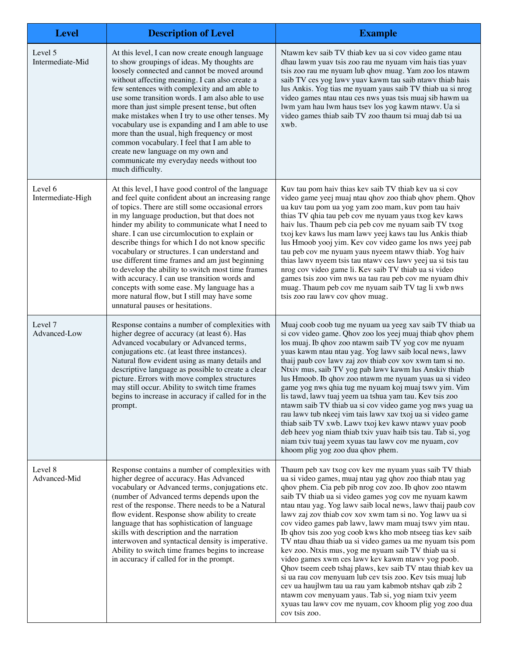| <b>Level</b>                       | <b>Description of Level</b>                                                                                                                                                                                                                                                                                                                                                                                                                                                                                                                                                                                                                                                                                        | <b>Example</b>                                                                                                                                                                                                                                                                                                                                                                                                                                                                                                                                                                                                                                                                                                                                                                                                                                                                                                                                                                            |
|------------------------------------|--------------------------------------------------------------------------------------------------------------------------------------------------------------------------------------------------------------------------------------------------------------------------------------------------------------------------------------------------------------------------------------------------------------------------------------------------------------------------------------------------------------------------------------------------------------------------------------------------------------------------------------------------------------------------------------------------------------------|-------------------------------------------------------------------------------------------------------------------------------------------------------------------------------------------------------------------------------------------------------------------------------------------------------------------------------------------------------------------------------------------------------------------------------------------------------------------------------------------------------------------------------------------------------------------------------------------------------------------------------------------------------------------------------------------------------------------------------------------------------------------------------------------------------------------------------------------------------------------------------------------------------------------------------------------------------------------------------------------|
| Level 5<br>Intermediate-Mid        | At this level, I can now create enough language<br>to show groupings of ideas. My thoughts are<br>loosely connected and cannot be moved around<br>without affecting meaning. I can also create a<br>few sentences with complexity and am able to<br>use some transition words. I am also able to use<br>more than just simple present tense, but often<br>make mistakes when I try to use other tenses. My<br>vocabulary use is expanding and I am able to use<br>more than the usual, high frequency or most<br>common vocabulary. I feel that I am able to<br>create new language on my own and<br>communicate my everyday needs without too<br>much difficulty.                                                 | Ntawm kev saib TV thiab kev ua si cov video game ntau<br>dhau lawm yuav tsis zoo rau me nyuam vim hais tias yuav<br>tsis zoo rau me nyuam lub qhov muag. Yam zoo los ntawm<br>saib TV ces yog lawv yuav kawm tau saib ntawv thiab hais<br>lus Ankis. Yog tias me nyuam yaus saib TV thiab ua si nrog<br>video games ntau ntau ces nws yuas tsis muaj sib hawm ua<br>lwm yam hau lwm haus tsev los yog kawm ntawv. Ua si<br>video games thiab saib TV zoo thaum tsi muaj dab tsi ua<br>xwb.                                                                                                                                                                                                                                                                                                                                                                                                                                                                                                |
| Level 6<br>Intermediate-High       | At this level, I have good control of the language<br>and feel quite confident about an increasing range<br>of topics. There are still some occasional errors<br>in my language production, but that does not<br>hinder my ability to communicate what I need to<br>share. I can use circumlocution to explain or<br>describe things for which I do not know specific<br>vocabulary or structures. I can understand and<br>use different time frames and am just beginning<br>to develop the ability to switch most time frames<br>with accuracy. I can use transition words and<br>concepts with some ease. My language has a<br>more natural flow, but I still may have some<br>unnatural pauses or hesitations. | Kuv tau pom haiv thias kev saib TV thiab kev ua si cov<br>video game yeej muaj ntau qhov zoo thiab qhov phem. Qhov<br>ua kuv tau pom ua yog yam zoo mam, kuv pom tau haiv<br>thias TV qhia tau peb cov me nyuam yaus txog kev kaws<br>haiv lus. Thaum peb cia peb cov me nyuam saib TV txog<br>txoj kev kaws lus mam lawv yeej kaws tau lus Ankis thiab<br>lus Hmoob yooj yim. Kev cov video game los nws yeej pab<br>tau peb cov me nyuam yaus nyeem ntawv thiab. Yog haiv<br>thias lawv nyeem tsis tau ntawv ces lawv yeej ua si tsis tau<br>nrog cov video game li. Kev saib TV thiab ua si video<br>games tsis zoo vim nws ua tau rau peb cov me nyuam dhiv<br>muag. Thaum peb cov me nyuam saib TV tag li xwb nws<br>tsis zoo rau lawv cov qhov muag.                                                                                                                                                                                                                                |
| Level <sub>7</sub><br>Advanced-Low | Response contains a number of complexities with<br>higher degree of accuracy (at least 6). Has<br>Advanced vocabulary or Advanced terms,<br>conjugations etc. (at least three instances).<br>Natural flow evident using as many details and<br>descriptive language as possible to create a clear<br>picture. Errors with move complex structures<br>may still occur. Ability to switch time frames<br>begins to increase in accuracy if called for in the<br>prompt.                                                                                                                                                                                                                                              | Muaj coob coob tug me nyuam ua yeeg xav saib TV thiab ua<br>si cov video game. Qhov zoo los yeej muaj thiab qhov phem<br>los muaj. Ib qhov zoo ntawm saib TV yog cov me nyuam<br>yuas kawm ntau ntau yag. Yog lawv saib local news, lawv<br>thaij paub cov lawv zaj zov thiab cov xov xwm tam si no.<br>Ntxiv mus, saib TV yog pab lawv kawm lus Anskiv thiab<br>lus Hmoob. Ib qhov zoo ntawm me nyuam yuas ua si video<br>game yog nws qhia tug me nyuam koj muaj tswv yim. Vim<br>lis tawd, lawv tuaj yeem ua tshua yam tau. Kev tsis zoo<br>ntawm saib TV thiab ua si cov video game yog nws yuag ua<br>rau lawv tub nkeej vim tais lawv xav txoj ua si video game<br>thiab saib TV xwb. Lawv txoj kev kawv ntawv yuav poob<br>deb heev yog niam thiab txiv yuav haib tsis tau. Tab si, yog<br>niam txiv tuaj yeem xyuas tau lawy cov me nyuam, cov<br>khoom plig yog zoo dua qhov phem.                                                                                               |
| Level 8<br>Advanced-Mid            | Response contains a number of complexities with<br>higher degree of accuracy. Has Advanced<br>vocabulary or Advanced terms, conjugations etc.<br>(number of Advanced terms depends upon the<br>rest of the response. There needs to be a Natural<br>flow evident. Response show ability to create<br>language that has sophistication of language<br>skills with description and the narration<br>interwoven and syntactical density is imperative.<br>Ability to switch time frames begins to increase<br>in accuracy if called for in the prompt.                                                                                                                                                                | Thaum peb xav txog cov kev me nyuam yuas saib TV thiab<br>ua si video games, muaj ntau yag qhov zoo thiab ntau yag<br>qhov phem. Cia peb pib nrog cov zoo. Ib qhov zoo ntawm<br>saib TV thiab ua si video games yog cov me nyuam kawm<br>ntau ntau yag. Yog lawv saib local news, lawv thaij paub cov<br>lawy zaj zov thiab cov xov xwm tam si no. Yog lawy ua si<br>cov video games pab lawv, lawv mam muaj tswv yim ntau.<br>Ib qhov tsis zoo yog coob kws kho mob ntseeg tias kev saib<br>TV ntau dhau thiab ua si video games ua me nyuam tsis pom<br>kev zoo. Ntxis mus, yog me nyuam saib TV thiab ua si<br>video games xwm ces lawv kev kawm ntawv yog poob.<br>Qhov tseem ceeb tshaj plaws, kev saib TV ntau thiab kev ua<br>si ua rau cov menyuam lub cev tsis zoo. Kev tsis muaj lub<br>cev ua haujlwm tau ua rau yam kabmob ntshav qab zib 2<br>ntawm cov menyuam yaus. Tab si, yog niam txiv yeem<br>xyuas tau lawv cov me nyuam, cov khoom plig yog zoo dua<br>cov tsis zoo. |